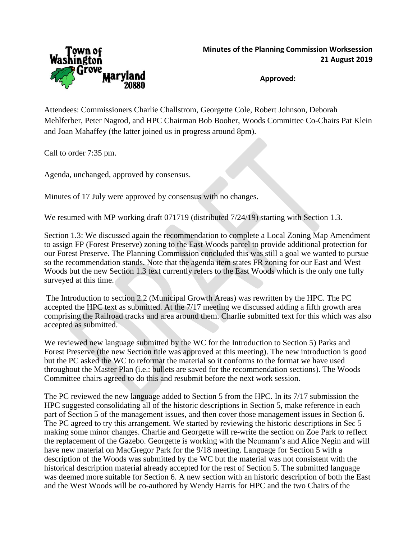

**Approved:**

Attendees: Commissioners Charlie Challstrom, Georgette Cole, Robert Johnson, Deborah Mehlferber, Peter Nagrod, and HPC Chairman Bob Booher, Woods Committee Co-Chairs Pat Klein and Joan Mahaffey (the latter joined us in progress around 8pm).

Call to order 7:35 pm.

Agenda, unchanged, approved by consensus.

Minutes of 17 July were approved by consensus with no changes.

We resumed with MP working draft 071719 (distributed  $7/24/19$ ) starting with Section 1.3.

Section 1.3: We discussed again the recommendation to complete a Local Zoning Map Amendment to assign FP (Forest Preserve) zoning to the East Woods parcel to provide additional protection for our Forest Preserve. The Planning Commission concluded this was still a goal we wanted to pursue so the recommendation stands. Note that the agenda item states FR zoning for our East and West Woods but the new Section 1.3 text currently refers to the East Woods which is the only one fully surveyed at this time.

The Introduction to section 2.2 (Municipal Growth Areas) was rewritten by the HPC. The PC accepted the HPC text as submitted. At the 7/17 meeting we discussed adding a fifth growth area comprising the Railroad tracks and area around them. Charlie submitted text for this which was also accepted as submitted.

We reviewed new language submitted by the WC for the Introduction to Section 5) Parks and Forest Preserve (the new Section title was approved at this meeting). The new introduction is good but the PC asked the WC to reformat the material so it conforms to the format we have used throughout the Master Plan (i.e.: bullets are saved for the recommendation sections). The Woods Committee chairs agreed to do this and resubmit before the next work session.

The PC reviewed the new language added to Section 5 from the HPC. In its 7/17 submission the HPC suggested consolidating all of the historic descriptions in Section 5, make reference in each part of Section 5 of the management issues, and then cover those management issues in Section 6. The PC agreed to try this arrangement. We started by reviewing the historic descriptions in Sec 5 making some minor changes. Charlie and Georgette will re-write the section on Zoe Park to reflect the replacement of the Gazebo. Georgette is working with the Neumann's and Alice Negin and will have new material on MacGregor Park for the 9/18 meeting. Language for Section 5 with a description of the Woods was submitted by the WC but the material was not consistent with the historical description material already accepted for the rest of Section 5. The submitted language was deemed more suitable for Section 6. A new section with an historic description of both the East and the West Woods will be co-authored by Wendy Harris for HPC and the two Chairs of the